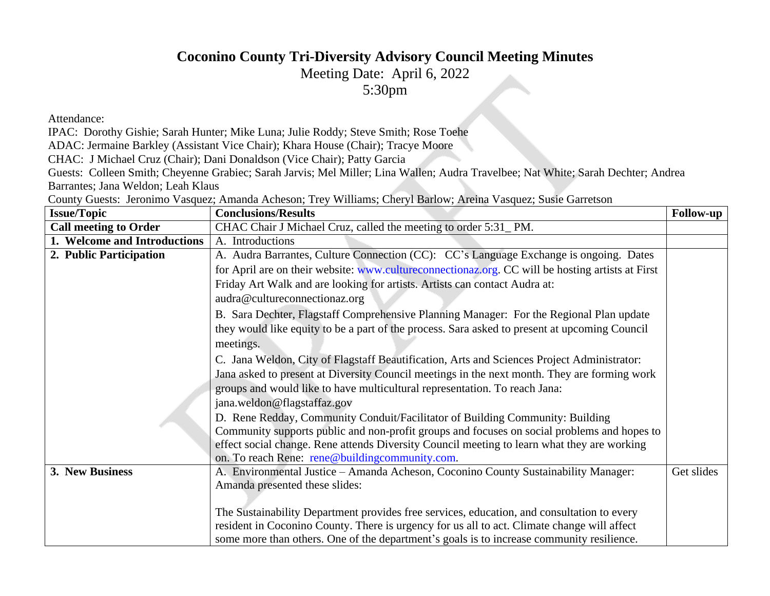## **Coconino County Tri-Diversity Advisory Council Meeting Minutes**

Meeting Date: April 6, 2022

[5:30pm](http://www.cultureconnectionaz.org)

Attendance:

IPAC: Dorothy Gishie; Sarah Hunter; Mike Luna; Julie Roddy; Steve Smith; Rose Toehe

ADAC: Jermaine Barkley (Assistant Vice Chair); Khara House (Chair); Tracye Moore

CHAC: J Michael Cruz (Chair); Dani Donaldson (Vice Chair); Patty Garcia

Guests: Colleen Smith; Cheyenne Grabiec; Sarah Jarvis; Mel Miller; Lina Wallen; Audra Travelbee; Nat White; Sar Barrantes; Jana Weldon; Leah Klaus

County Guests: Jeronimo Vasquez; Amanda Acheson; Trey Williams; Cheryl Barlow; Areina Vasquez; Susie Garret

| <b>Issue/Topic</b>           | <b>Conclusions/Results</b>                                                          |
|------------------------------|-------------------------------------------------------------------------------------|
| <b>Call meeting to Order</b> | CHAC Chair J Michael Cruz, called the meeting to order 5:31_PM.                     |
| 1. Welcome and Introductions | A. Introductions                                                                    |
| 2. Public Participation      | A. Audra Barrantes, Culture Connection (CC): CC's Language Exchange is ong          |
|                              | for April are on their website: www.cultureconnectionaz.org. CC will be hosting     |
|                              | Friday Art Walk and are looking for artists. Artists can contact Audra at:          |
|                              | audra@cultureconnectionaz.org                                                       |
|                              | B. Sara Dechter, Flagstaff Comprehensive Planning Manager: For the Regional         |
|                              | they would like equity to be a part of the process. Sara asked to present at upcomi |
|                              | meetings.                                                                           |
|                              | C. Jana Weldon, City of Flagstaff Beautification, Arts and Sciences Project Adm     |
|                              | Jana asked to present at Diversity Council meetings in the next month. They are f   |
|                              | groups and would like to have multicultural representation. To reach Jana:          |
|                              | jana.weldon@flagstaffaz.gov                                                         |
|                              | D. Rene Redday, Community Conduit/Facilitator of Building Community: Build          |
|                              | Community supports public and non-profit groups and focuses on social problem       |
|                              | effect social change. Rene attends Diversity Council meeting to learn what they a   |
|                              | on. To reach Rene: rene@buildingcommunity.com.                                      |
| 3. New Business              | A. Environmental Justice – Amanda Acheson, Coconino County Sustainability N         |
|                              | Amanda presented these slides:                                                      |
|                              |                                                                                     |
|                              | The Sustainability Department provides free services, education, and consultation   |
|                              | resident in Coconino County. There is urgency for us all to act. Climate change w   |
|                              | some more than others. One of the department's goals is to increase community r     |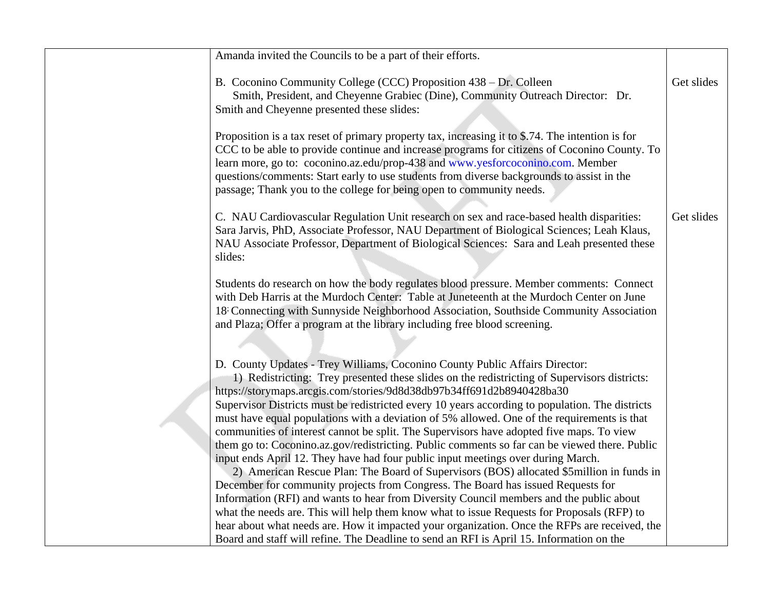| Amanda invited the Councils to be a part of their efforts.                                                                                                                                                                                                                                                                                                                                                                 |
|----------------------------------------------------------------------------------------------------------------------------------------------------------------------------------------------------------------------------------------------------------------------------------------------------------------------------------------------------------------------------------------------------------------------------|
| B. Coconino Community College (CCC) Proposition 438 – Dr. Colleen<br>Smith, President, and Cheyenne Grabiec (Dine), Community Outreach Direct<br>Smith and Cheyenne presented these slides:                                                                                                                                                                                                                                |
| Proposition is a tax reset of primary property tax, increasing it to \$.74. The intention-<br>CCC to be able to provide continue and increase programs for citizens of Coconin<br>learn more, go to: coconino.az.edu/prop-438 and www.yesforcoconino.com. Mer<br>questions/comments: Start early to use students from diverse backgrounds to assis<br>passage; Thank you to the college for being open to community needs. |
| C. NAU Cardiovascular Regulation Unit research on sex and race-based health d<br>Sara Jarvis, PhD, Associate Professor, NAU Department of Biological Sciences;<br>NAU Associate Professor, Department of Biological Sciences: Sara and Leah pro<br>slides:                                                                                                                                                                 |
| Students do research on how the body regulates blood pressure. Member commer<br>with Deb Harris at the Murdoch Center: Table at Juneteenth at the Murdoch Cen<br>18 Connecting with Sunnyside Neighborhood Association, Southside Community<br>and Plaza; Offer a program at the library including free blood screening.                                                                                                   |
| D. County Updates - Trey Williams, Coconino County Public Affairs Director:<br>1) Redistricting: Trey presented these slides on the redistricting of Supervise<br>https://storymaps.arcgis.com/stories/9d8d38db97b34ff691d2b8940428ba30<br>Supervisor Districts must be redistricted every 10 years according to population.                                                                                               |
| must have equal populations with a deviation of 5% allowed. One of the requirem<br>communities of interest cannot be split. The Supervisors have adopted five maps.<br>them go to: Coconino.az.gov/redistricting. Public comments so far can be viewed<br>input ends April 12. They have had four public input meetings over during March                                                                                  |
| 2) American Rescue Plan: The Board of Supervisors (BOS) allocated \$5milli<br>December for community projects from Congress. The Board has issued Request<br>Information (RFI) and wants to hear from Diversity Council members and the pul<br>what the needs are. This will help them know what to issue Requests for Proposal                                                                                            |
| hear about what needs are. How it impacted your organization. Once the RFPs are<br>Board and staff will refine. The Deadline to send an RFI is April 15. Information                                                                                                                                                                                                                                                       |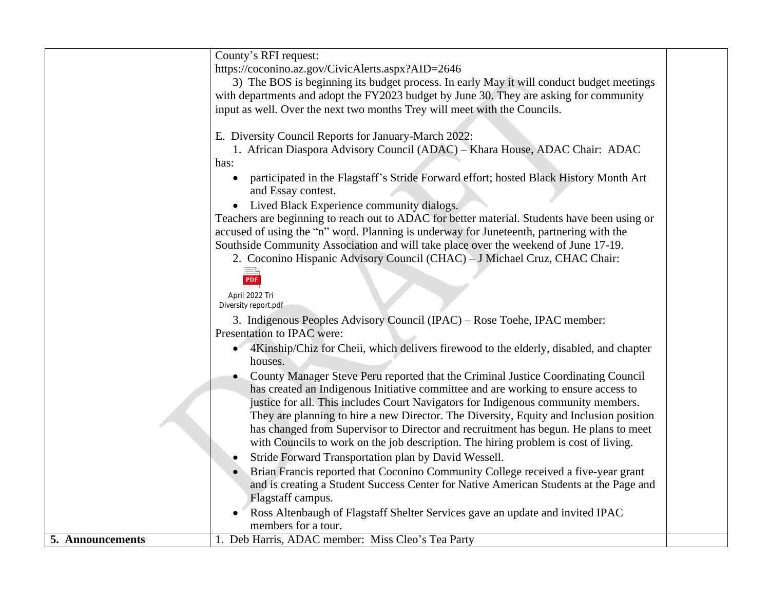|                  | County's RFI request:                                                                                |  |
|------------------|------------------------------------------------------------------------------------------------------|--|
|                  | https://coconino.az.gov/CivicAlerts.aspx?AID=2646                                                    |  |
|                  | 3) The BOS is beginning its budget process. In early May it will conduct budget meetings             |  |
|                  | with departments and adopt the FY2023 budget by June 30. They are asking for community               |  |
|                  | input as well. Over the next two months Trey will meet with the Councils.                            |  |
|                  |                                                                                                      |  |
|                  | E. Diversity Council Reports for January-March 2022:                                                 |  |
|                  | 1. African Diaspora Advisory Council (ADAC) - Khara House, ADAC Chair: ADAC                          |  |
|                  | has:                                                                                                 |  |
|                  |                                                                                                      |  |
|                  | participated in the Flagstaff's Stride Forward effort; hosted Black History Month Art                |  |
|                  | and Essay contest.                                                                                   |  |
|                  | Lived Black Experience community dialogs.<br>$\bullet$                                               |  |
|                  | Teachers are beginning to reach out to ADAC for better material. Students have been using or         |  |
|                  | accused of using the "n" word. Planning is underway for Juneteenth, partnering with the              |  |
|                  | Southside Community Association and will take place over the weekend of June 17-19.                  |  |
|                  | 2. Coconino Hispanic Advisory Council (CHAC) - J Michael Cruz, CHAC Chair:                           |  |
|                  | <b>PDF</b>                                                                                           |  |
|                  |                                                                                                      |  |
|                  | April 2022 Tri                                                                                       |  |
|                  | Diversity report.pdf                                                                                 |  |
|                  | 3. Indigenous Peoples Advisory Council (IPAC) – Rose Toehe, IPAC member:                             |  |
|                  | Presentation to IPAC were:                                                                           |  |
|                  | 4Kinship/Chiz for Cheii, which delivers firewood to the elderly, disabled, and chapter<br>$\bullet$  |  |
|                  | houses.                                                                                              |  |
|                  | County Manager Steve Peru reported that the Criminal Justice Coordinating Council                    |  |
|                  | has created an Indigenous Initiative committee and are working to ensure access to                   |  |
|                  | justice for all. This includes Court Navigators for Indigenous community members.                    |  |
|                  | They are planning to hire a new Director. The Diversity, Equity and Inclusion position               |  |
|                  | has changed from Supervisor to Director and recruitment has begun. He plans to meet                  |  |
|                  | with Councils to work on the job description. The hiring problem is cost of living.                  |  |
|                  | Stride Forward Transportation plan by David Wessell.                                                 |  |
|                  | Brian Francis reported that Coconino Community College received a five-year grant                    |  |
|                  | and is creating a Student Success Center for Native American Students at the Page and                |  |
|                  | Flagstaff campus.                                                                                    |  |
|                  |                                                                                                      |  |
|                  | Ross Altenbaugh of Flagstaff Shelter Services gave an update and invited IPAC<br>members for a tour. |  |
|                  |                                                                                                      |  |
| 5. Announcements | 1. Deb Harris, ADAC member: Miss Cleo's Tea Party                                                    |  |